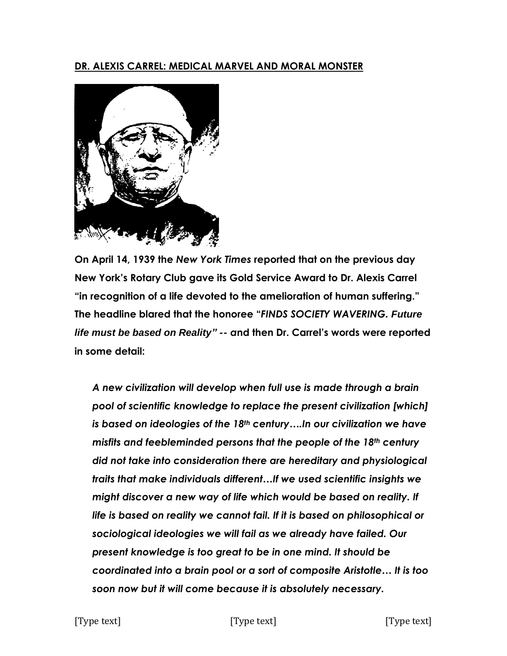## **DR. ALEXIS CARREL: MEDICAL MARVEL AND MORAL MONSTER**



**On April 14, 1939 the** *New York Times* **reported that on the previous day New York's Rotary Club gave its Gold Service Award to Dr. Alexis Carrel "in recognition of a life devoted to the amelioration of human suffering." The headline blared that the honoree "***FINDS SOCIETY WAVERING. Future life must be based on Reality" -- a***nd then Dr. Carrel's words were reported in some detail:** 

*A new civilization will develop when full use is made through a brain pool of scientific knowledge to replace the present civilization [which] is based on ideologies of the 18th century….In our civilization we have misfits and feebleminded persons that the people of the 18th century did not take into consideration there are hereditary and physiological traits that make individuals different…If we used scientific insights we might discover a new way of life which would be based on reality. If life is based on reality we cannot fail. If it is based on philosophical or sociological ideologies we will fail as we already have failed. Our present knowledge is too great to be in one mind. It should be coordinated into a brain pool or a sort of composite Aristotle… It is too soon now but it will come because it is absolutely necessary.*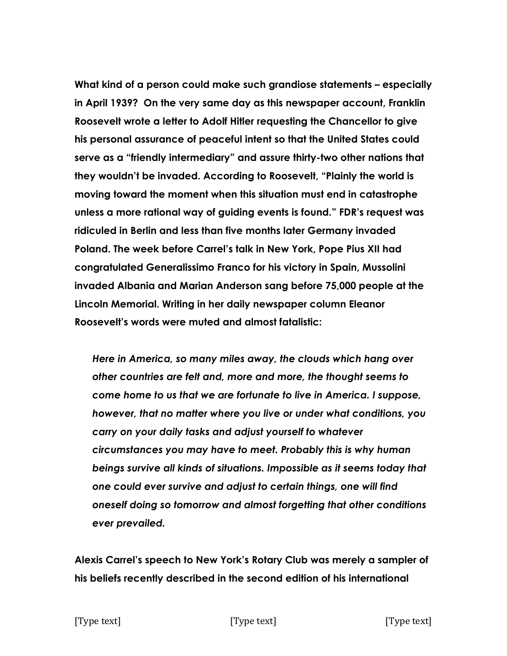**What kind of a person could make such grandiose statements – especially in April 1939? On the very same day as this newspaper account, Franklin Roosevelt wrote a letter to Adolf Hitler requesting the Chancellor to give his personal assurance of peaceful intent so that the United States could serve as a "friendly intermediary" and assure thirty-two other nations that they wouldn't be invaded. According to Roosevelt, "Plainly the world is moving toward the moment when this situation must end in catastrophe unless a more rational way of guiding events is found." FDR's request was ridiculed in Berlin and less than five months later Germany invaded Poland. The week before Carrel's talk in New York, Pope Pius XII had congratulated Generalissimo Franco for his victory in Spain, Mussolini invaded Albania and Marian Anderson sang before 75,000 people at the Lincoln Memorial. Writing in her daily newspaper column Eleanor Roosevelt's words were muted and almost fatalistic:**

*Here in America, so many miles away, the clouds which hang over other countries are felt and, more and more, the thought seems to come home to us that we are fortunate to live in America. I suppose, however, that no matter where you live or under what conditions, you carry on your daily tasks and adjust yourself to whatever circumstances you may have to meet. Probably this is why human beings survive all kinds of situations. Impossible as it seems today that one could ever survive and adjust to certain things, one will find oneself doing so tomorrow and almost forgetting that other conditions ever prevailed.*

**Alexis Carrel's speech to New York's Rotary Club was merely a sampler of his beliefs recently described in the second edition of his international**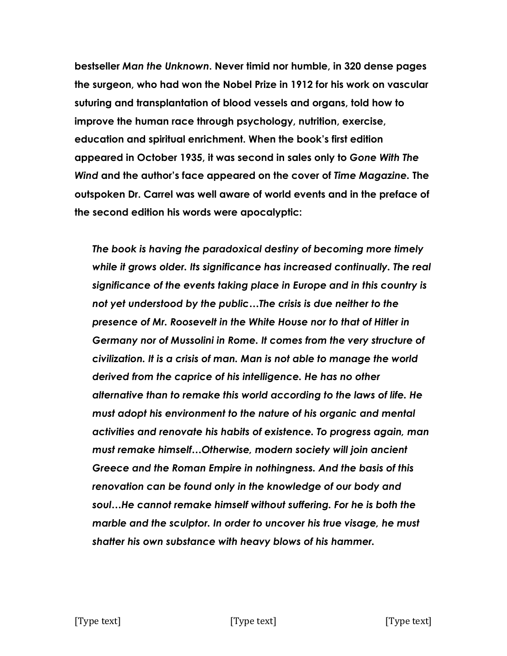**bestseller** *Man the Unknown***. Never timid nor humble, in 320 dense pages the surgeon, who had won the Nobel Prize in 1912 for his work on vascular suturing and transplantation of blood vessels and organs, told how to improve the human race through psychology, nutrition, exercise, education and spiritual enrichment. When the book's first edition appeared in October 1935, it was second in sales only to** *Gone With The Wind* **and the author's face appeared on the cover of** *Time Magazine.* **The outspoken Dr. Carrel was well aware of world events and in the preface of the second edition his words were apocalyptic:**

*The book is having the paradoxical destiny of becoming more timely while it grows older. Its significance has increased continually. The real significance of the events taking place in Europe and in this country is not yet understood by the public…The crisis is due neither to the presence of Mr. Roosevelt in the White House nor to that of Hitler in Germany nor of Mussolini in Rome. It comes from the very structure of civilization. It is a crisis of man. Man is not able to manage the world derived from the caprice of his intelligence. He has no other alternative than to remake this world according to the laws of life. He must adopt his environment to the nature of his organic and mental activities and renovate his habits of existence. To progress again, man must remake himself…Otherwise, modern society will join ancient Greece and the Roman Empire in nothingness. And the basis of this renovation can be found only in the knowledge of our body and soul…He cannot remake himself without suffering. For he is both the marble and the sculptor. In order to uncover his true visage, he must shatter his own substance with heavy blows of his hammer.*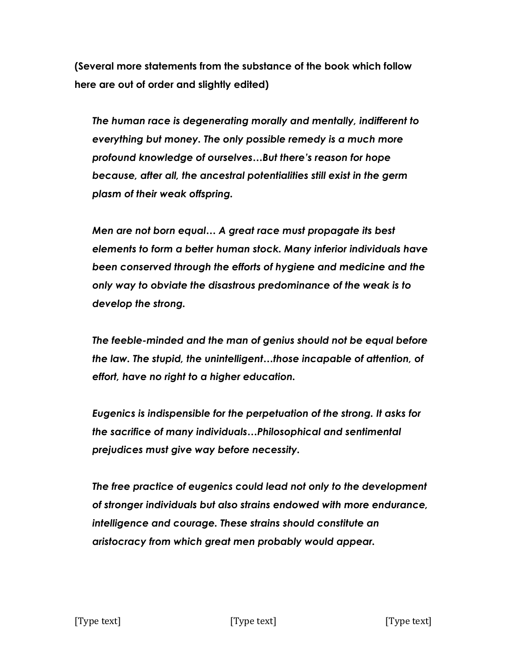**(Several more statements from the substance of the book which follow here are out of order and slightly edited)**

*The human race is degenerating morally and mentally, indifferent to everything but money. The only possible remedy is a much more profound knowledge of ourselves…But there's reason for hope because, after all, the ancestral potentialities still exist in the germ plasm of their weak offspring.*

*Men are not born equal… A great race must propagate its best elements to form a better human stock. Many inferior individuals have been conserved through the efforts of hygiene and medicine and the only way to obviate the disastrous predominance of the weak is to develop the strong.*

*The feeble-minded and the man of genius should not be equal before the law. The stupid, the unintelligent…those incapable of attention, of effort, have no right to a higher education.*

*Eugenics is indispensible for the perpetuation of the strong. It asks for the sacrifice of many individuals…Philosophical and sentimental prejudices must give way before necessity.*

*The free practice of eugenics could lead not only to the development of stronger individuals but also strains endowed with more endurance, intelligence and courage. These strains should constitute an aristocracy from which great men probably would appear.*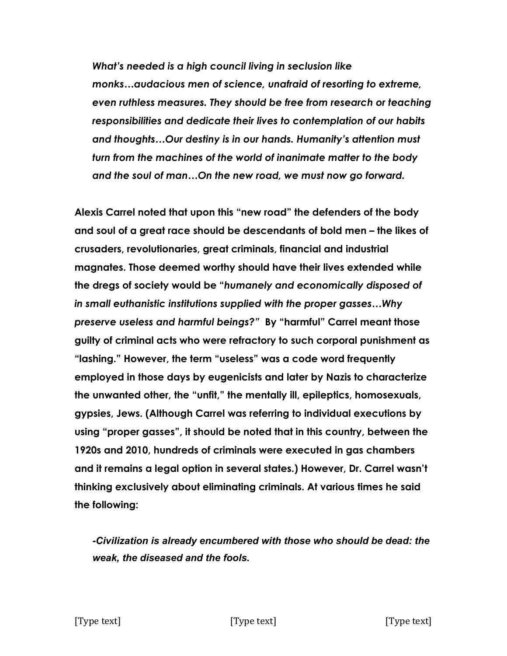*What's needed is a high council living in seclusion like monks…audacious men of science, unafraid of resorting to extreme, even ruthless measures. They should be free from research or teaching responsibilities and dedicate their lives to contemplation of our habits and thoughts…Our destiny is in our hands. Humanity's attention must turn from the machines of the world of inanimate matter to the body and the soul of man…On the new road, we must now go forward.*

**Alexis Carrel noted that upon this "new road" the defenders of the body and soul of a great race should be descendants of bold men – the likes of crusaders, revolutionaries, great criminals, financial and industrial magnates. Those deemed worthy should have their lives extended while the dregs of society would be "***humanely and economically disposed of in small euthanistic institutions supplied with the proper gasses…Why preserve useless and harmful beings?"* **By "harmful" Carrel meant those guilty of criminal acts who were refractory to such corporal punishment as "lashing." However, the term "useless" was a code word frequently employed in those days by eugenicists and later by Nazis to characterize the unwanted other, the "unfit," the mentally ill, epileptics, homosexuals, gypsies, Jews. (Although Carrel was referring to individual executions by using "proper gasses", it should be noted that in this country, between the 1920s and 2010, hundreds of criminals were executed in gas chambers and it remains a legal option in several states.) However, Dr. Carrel wasn't thinking exclusively about eliminating criminals. At various times he said the following:**

*-Civilization is already encumbered with those who should be dead: the weak, the diseased and the fools.*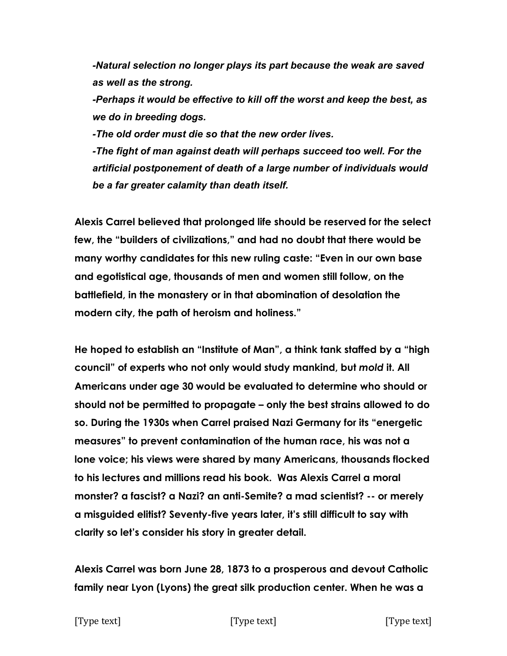*-Natural selection no longer plays its part because the weak are saved as well as the strong.*

*-Perhaps it would be effective to kill off the worst and keep the best, as we do in breeding dogs.*

*-The old order must die so that the new order lives.*

*-The fight of man against death will perhaps succeed too well. For the artificial postponement of death of a large number of individuals would be a far greater calamity than death itself.*

**Alexis Carrel believed that prolonged life should be reserved for the select few, the "builders of civilizations," and had no doubt that there would be many worthy candidates for this new ruling caste: "Even in our own base and egotistical age, thousands of men and women still follow, on the battlefield, in the monastery or in that abomination of desolation the modern city, the path of heroism and holiness."**

**He hoped to establish an "Institute of Man", a think tank staffed by a "high council" of experts who not only would study mankind, but** *mold* **it. All Americans under age 30 would be evaluated to determine who should or should not be permitted to propagate – only the best strains allowed to do so. During the 1930s when Carrel praised Nazi Germany for its "energetic measures" to prevent contamination of the human race, his was not a lone voice; his views were shared by many Americans, thousands flocked to his lectures and millions read his book. Was Alexis Carrel a moral monster? a fascist? a Nazi? an anti-Semite? a mad scientist? -- or merely a misguided elitist? Seventy-five years later, it's still difficult to say with clarity so let's consider his story in greater detail.**

**Alexis Carrel was born June 28, 1873 to a prosperous and devout Catholic family near Lyon (Lyons) the great silk production center. When he was a** 

## [Type text] [Type text] [Type text]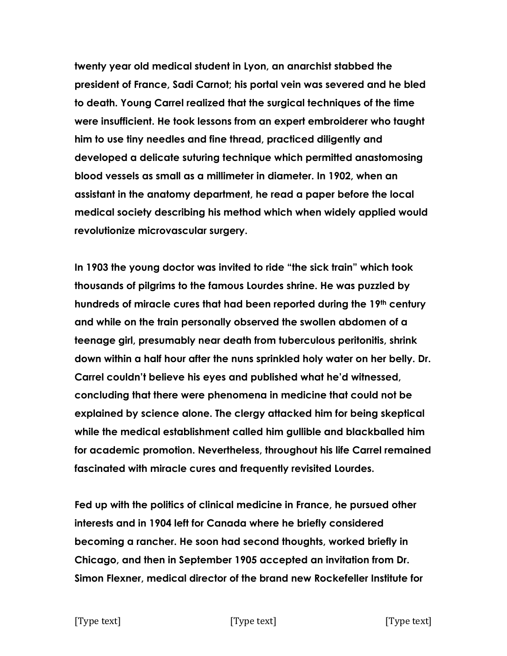**twenty year old medical student in Lyon, an anarchist stabbed the president of France, Sadi Carnot; his portal vein was severed and he bled to death. Young Carrel realized that the surgical techniques of the time were insufficient. He took lessons from an expert embroiderer who taught him to use tiny needles and fine thread, practiced diligently and developed a delicate suturing technique which permitted anastomosing blood vessels as small as a millimeter in diameter. In 1902, when an assistant in the anatomy department, he read a paper before the local medical society describing his method which when widely applied would revolutionize microvascular surgery.** 

**In 1903 the young doctor was invited to ride "the sick train" which took thousands of pilgrims to the famous Lourdes shrine. He was puzzled by hundreds of miracle cures that had been reported during the 19th century and while on the train personally observed the swollen abdomen of a teenage girl, presumably near death from tuberculous peritonitis, shrink down within a half hour after the nuns sprinkled holy water on her belly. Dr. Carrel couldn't believe his eyes and published what he'd witnessed, concluding that there were phenomena in medicine that could not be explained by science alone. The clergy attacked him for being skeptical while the medical establishment called him gullible and blackballed him for academic promotion. Nevertheless, throughout his life Carrel remained fascinated with miracle cures and frequently revisited Lourdes.**

**Fed up with the politics of clinical medicine in France, he pursued other interests and in 1904 left for Canada where he briefly considered becoming a rancher. He soon had second thoughts, worked briefly in Chicago, and then in September 1905 accepted an invitation from Dr. Simon Flexner, medical director of the brand new Rockefeller Institute for**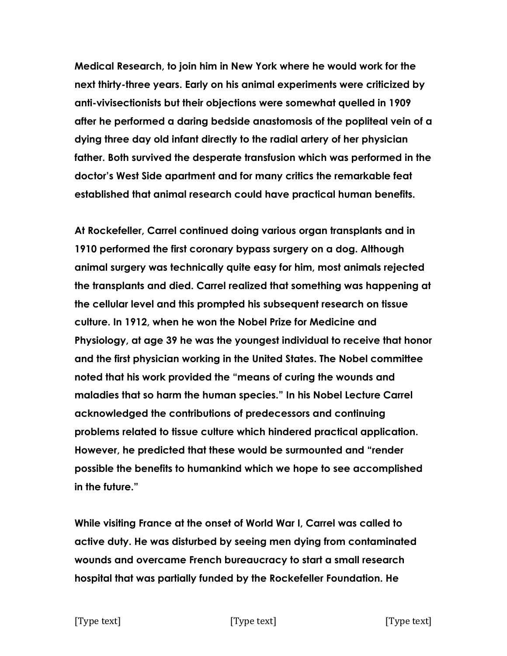**Medical Research, to join him in New York where he would work for the next thirty-three years. Early on his animal experiments were criticized by anti-vivisectionists but their objections were somewhat quelled in 1909 after he performed a daring bedside anastomosis of the popliteal vein of a dying three day old infant directly to the radial artery of her physician father. Both survived the desperate transfusion which was performed in the doctor's West Side apartment and for many critics the remarkable feat established that animal research could have practical human benefits.**

**At Rockefeller, Carrel continued doing various organ transplants and in 1910 performed the first coronary bypass surgery on a dog. Although animal surgery was technically quite easy for him, most animals rejected the transplants and died. Carrel realized that something was happening at the cellular level and this prompted his subsequent research on tissue culture. In 1912, when he won the Nobel Prize for Medicine and Physiology, at age 39 he was the youngest individual to receive that honor and the first physician working in the United States. The Nobel committee noted that his work provided the "means of curing the wounds and maladies that so harm the human species." In his Nobel Lecture Carrel acknowledged the contributions of predecessors and continuing problems related to tissue culture which hindered practical application. However, he predicted that these would be surmounted and "render possible the benefits to humankind which we hope to see accomplished in the future."** 

**While visiting France at the onset of World War I, Carrel was called to active duty. He was disturbed by seeing men dying from contaminated wounds and overcame French bureaucracy to start a small research hospital that was partially funded by the Rockefeller Foundation. He**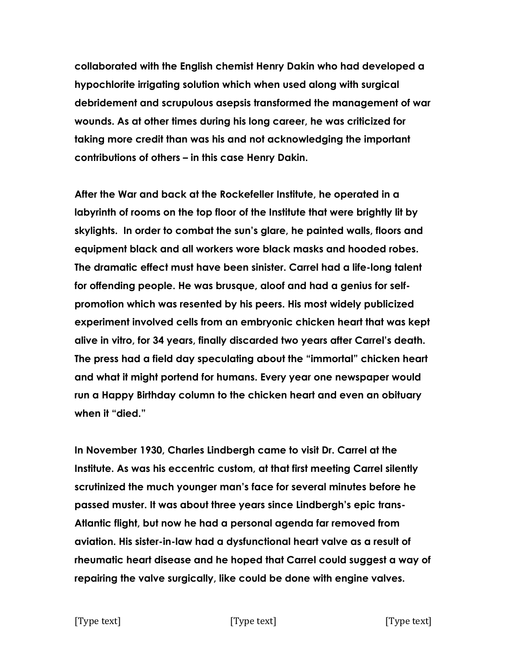**collaborated with the English chemist Henry Dakin who had developed a hypochlorite irrigating solution which when used along with surgical debridement and scrupulous asepsis transformed the management of war wounds. As at other times during his long career, he was criticized for taking more credit than was his and not acknowledging the important contributions of others – in this case Henry Dakin.**

**After the War and back at the Rockefeller Institute, he operated in a labyrinth of rooms on the top floor of the Institute that were brightly lit by skylights. In order to combat the sun's glare, he painted walls, floors and equipment black and all workers wore black masks and hooded robes. The dramatic effect must have been sinister. Carrel had a life-long talent for offending people. He was brusque, aloof and had a genius for selfpromotion which was resented by his peers. His most widely publicized experiment involved cells from an embryonic chicken heart that was kept alive in vitro, for 34 years, finally discarded two years after Carrel's death. The press had a field day speculating about the "immortal" chicken heart and what it might portend for humans. Every year one newspaper would run a Happy Birthday column to the chicken heart and even an obituary when it "died."**

**In November 1930, Charles Lindbergh came to visit Dr. Carrel at the Institute. As was his eccentric custom, at that first meeting Carrel silently scrutinized the much younger man's face for several minutes before he passed muster. It was about three years since Lindbergh's epic trans-Atlantic flight, but now he had a personal agenda far removed from aviation. His sister-in-law had a dysfunctional heart valve as a result of rheumatic heart disease and he hoped that Carrel could suggest a way of repairing the valve surgically, like could be done with engine valves.**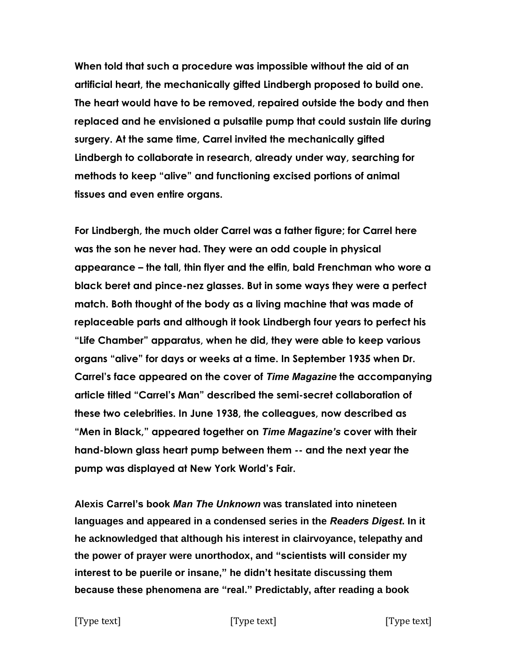**When told that such a procedure was impossible without the aid of an artificial heart, the mechanically gifted Lindbergh proposed to build one. The heart would have to be removed, repaired outside the body and then replaced and he envisioned a pulsatile pump that could sustain life during surgery. At the same time, Carrel invited the mechanically gifted Lindbergh to collaborate in research, already under way, searching for methods to keep "alive" and functioning excised portions of animal tissues and even entire organs.** 

**For Lindbergh, the much older Carrel was a father figure; for Carrel here was the son he never had. They were an odd couple in physical appearance – the tall, thin flyer and the elfin, bald Frenchman who wore a black beret and pince-nez glasses. But in some ways they were a perfect match. Both thought of the body as a living machine that was made of replaceable parts and although it took Lindbergh four years to perfect his "Life Chamber" apparatus, when he did, they were able to keep various organs "alive" for days or weeks at a time. In September 1935 when Dr. Carrel's face appeared on the cover of** *Time Magazine* **the accompanying article titled "Carrel's Man" described the semi-secret collaboration of these two celebrities. In June 1938, the colleagues, now described as "Men in Black," appeared together on** *Time Magazine's* **cover with their hand-blown glass heart pump between them -- and the next year the pump was displayed at New York World's Fair.** 

**Alexis Carrel's book** *Man The Unknown* **was translated into nineteen languages and appeared in a condensed series in the** *Readers Digest***. In it he acknowledged that although his interest in clairvoyance, telepathy and the power of prayer were unorthodox, and "scientists will consider my interest to be puerile or insane," he didn't hesitate discussing them because these phenomena are "real." Predictably, after reading a book**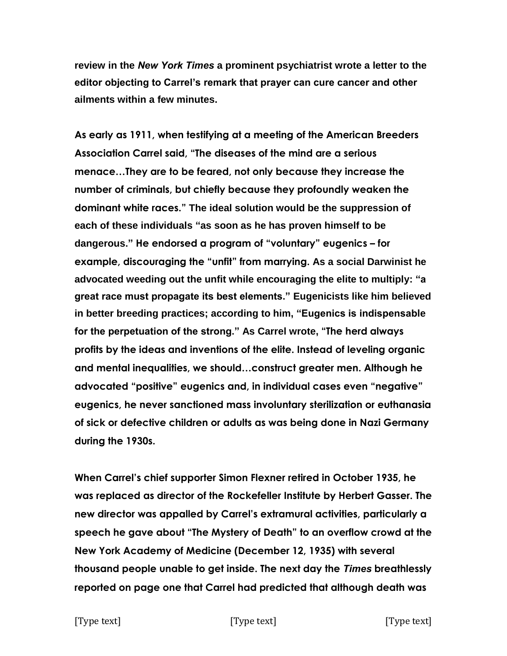**review in the** *New York Times* **a prominent psychiatrist wrote a letter to the editor objecting to Carrel's remark that prayer can cure cancer and other ailments within a few minutes.** 

**As early as 1911, when testifying at a meeting of the American Breeders Association Carrel said, "The diseases of the mind are a serious menace…They are to be feared, not only because they increase the number of criminals, but chiefly because they profoundly weaken the dominant white races." The ideal solution would be the suppression of each of these individuals "as soon as he has proven himself to be dangerous." He endorsed a program of "voluntary" eugenics – for example, discouraging the "unfit" from marrying. As a social Darwinist he advocated weeding out the unfit while encouraging the elite to multiply: "a great race must propagate its best elements." Eugenicists like him believed in better breeding practices; according to him, "Eugenics is indispensable for the perpetuation of the strong." As Carrel wrote, "The herd always profits by the ideas and inventions of the elite. Instead of leveling organic and mental inequalities, we should…construct greater men. Although he advocated "positive" eugenics and, in individual cases even "negative" eugenics, he never sanctioned mass involuntary sterilization or euthanasia of sick or defective children or adults as was being done in Nazi Germany during the 1930s.** 

**When Carrel's chief supporter Simon Flexner retired in October 1935, he was replaced as director of the Rockefeller Institute by Herbert Gasser. The new director was appalled by Carrel's extramural activities, particularly a speech he gave about "The Mystery of Death" to an overflow crowd at the New York Academy of Medicine (December 12, 1935) with several thousand people unable to get inside. The next day the** *Times* **breathlessly reported on page one that Carrel had predicted that although death was**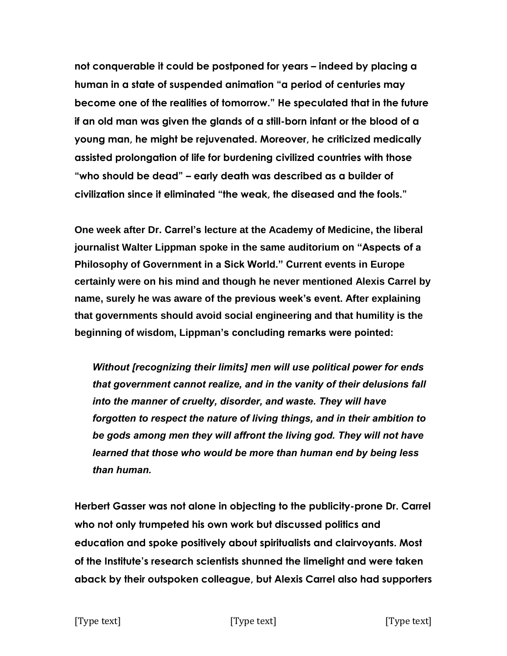**not conquerable it could be postponed for years – indeed by placing a human in a state of suspended animation "a period of centuries may become one of the realities of tomorrow." He speculated that in the future if an old man was given the glands of a still-born infant or the blood of a young man, he might be rejuvenated. Moreover, he criticized medically assisted prolongation of life for burdening civilized countries with those "who should be dead" – early death was described as a builder of civilization since it eliminated "the weak, the diseased and the fools."**

**One week after Dr. Carrel's lecture at the Academy of Medicine, the liberal journalist Walter Lippman spoke in the same auditorium on "Aspects of a Philosophy of Government in a Sick World." Current events in Europe certainly were on his mind and though he never mentioned Alexis Carrel by name, surely he was aware of the previous week's event. After explaining that governments should avoid social engineering and that humility is the beginning of wisdom, Lippman's concluding remarks were pointed:** 

*Without [recognizing their limits] men will use political power for ends that government cannot realize, and in the vanity of their delusions fall into the manner of cruelty, disorder, and waste. They will have forgotten to respect the nature of living things, and in their ambition to be gods among men they will affront the living god. They will not have learned that those who would be more than human end by being less than human.*

**Herbert Gasser was not alone in objecting to the publicity-prone Dr. Carrel who not only trumpeted his own work but discussed politics and education and spoke positively about spiritualists and clairvoyants. Most of the Institute's research scientists shunned the limelight and were taken aback by their outspoken colleague, but Alexis Carrel also had supporters**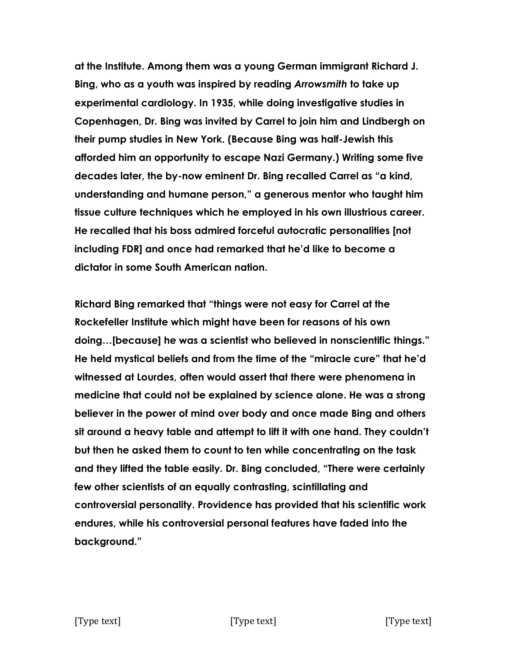**at the Institute. Among them was a young German immigrant Richard J. Bing, who as a youth was inspired by reading** *Arrowsmith* **to take up experimental cardiology. In 1935, while doing investigative studies in Copenhagen, Dr. Bing was invited by Carrel to join him and Lindbergh on their pump studies in New York. (Because Bing was half-Jewish this afforded him an opportunity to escape Nazi Germany.) Writing some five decades later, the by-now eminent Dr. Bing recalled Carrel as "a kind, understanding and humane person," a generous mentor who taught him tissue culture techniques which he employed in his own illustrious career. He recalled that his boss admired forceful autocratic personalities [not including FDR] and once had remarked that he'd like to become a dictator in some South American nation.**

**Richard Bing remarked that "things were not easy for Carrel at the Rockefeller Institute which might have been for reasons of his own doing…[because] he was a scientist who believed in nonscientific things." He held mystical beliefs and from the time of the "miracle cure" that he'd witnessed at Lourdes, often would assert that there were phenomena in medicine that could not be explained by science alone. He was a strong believer in the power of mind over body and once made Bing and others sit around a heavy table and attempt to lift it with one hand. They couldn't but then he asked them to count to ten while concentrating on the task and they lifted the table easily. Dr. Bing concluded, "There were certainly few other scientists of an equally contrasting, scintillating and controversial personality. Providence has provided that his scientific work endures, while his controversial personal features have faded into the background."**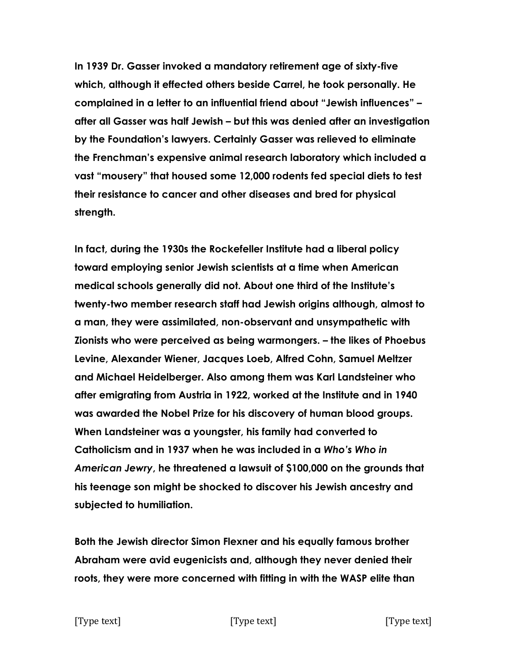**In 1939 Dr. Gasser invoked a mandatory retirement age of sixty-five which, although it effected others beside Carrel, he took personally. He complained in a letter to an influential friend about "Jewish influences" – after all Gasser was half Jewish – but this was denied after an investigation by the Foundation's lawyers. Certainly Gasser was relieved to eliminate the Frenchman's expensive animal research laboratory which included a vast "mousery" that housed some 12,000 rodents fed special diets to test their resistance to cancer and other diseases and bred for physical strength.**

**In fact, during the 1930s the Rockefeller Institute had a liberal policy toward employing senior Jewish scientists at a time when American medical schools generally did not. About one third of the Institute's twenty-two member research staff had Jewish origins although, almost to a man, they were assimilated, non-observant and unsympathetic with Zionists who were perceived as being warmongers. – the likes of Phoebus Levine, Alexander Wiener, Jacques Loeb, Alfred Cohn, Samuel Meltzer and Michael Heidelberger. Also among them was Karl Landsteiner who after emigrating from Austria in 1922, worked at the Institute and in 1940 was awarded the Nobel Prize for his discovery of human blood groups. When Landsteiner was a youngster, his family had converted to Catholicism and in 1937 when he was included in a** *Who's Who in American Jewry***, he threatened a lawsuit of \$100,000 on the grounds that his teenage son might be shocked to discover his Jewish ancestry and subjected to humiliation.**

**Both the Jewish director Simon Flexner and his equally famous brother Abraham were avid eugenicists and, although they never denied their roots, they were more concerned with fitting in with the WASP elite than**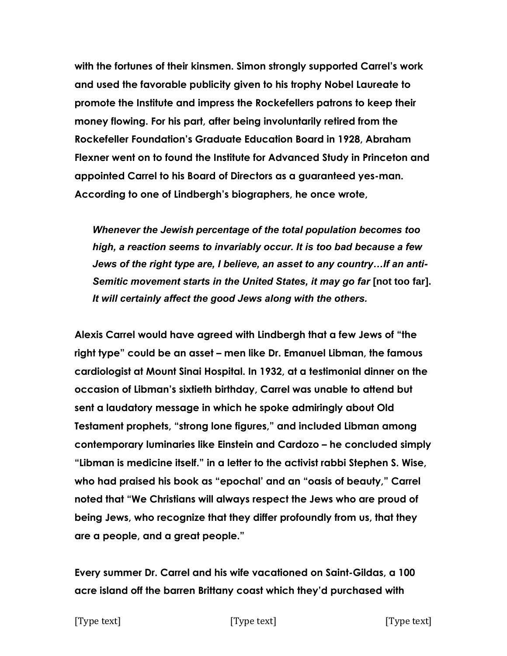**with the fortunes of their kinsmen. Simon strongly supported Carrel's work and used the favorable publicity given to his trophy Nobel Laureate to promote the Institute and impress the Rockefellers patrons to keep their money flowing. For his part, after being involuntarily retired from the Rockefeller Foundation's Graduate Education Board in 1928, Abraham Flexner went on to found the Institute for Advanced Study in Princeton and appointed Carrel to his Board of Directors as a guaranteed yes-man. According to one of Lindbergh's biographers, he once wrote,** 

*Whenever the Jewish percentage of the total population becomes too high, a reaction seems to invariably occur. It is too bad because a few Jews of the right type are, I believe, an asset to any country…If an anti-Semitic movement starts in the United States, it may go far* **[not too far].** *It will certainly affect the good Jews along with the others.*

**Alexis Carrel would have agreed with Lindbergh that a few Jews of "the right type" could be an asset – men like Dr. Emanuel Libman, the famous cardiologist at Mount Sinai Hospital. In 1932, at a testimonial dinner on the occasion of Libman's sixtieth birthday, Carrel was unable to attend but sent a laudatory message in which he spoke admiringly about Old Testament prophets, "strong lone figures," and included Libman among contemporary luminaries like Einstein and Cardozo – he concluded simply "Libman is medicine itself." in a letter to the activist rabbi Stephen S. Wise, who had praised his book as "epochal' and an "oasis of beauty," Carrel noted that "We Christians will always respect the Jews who are proud of being Jews, who recognize that they differ profoundly from us, that they are a people, and a great people."**

**Every summer Dr. Carrel and his wife vacationed on Saint-Gildas, a 100 acre island off the barren Brittany coast which they'd purchased with**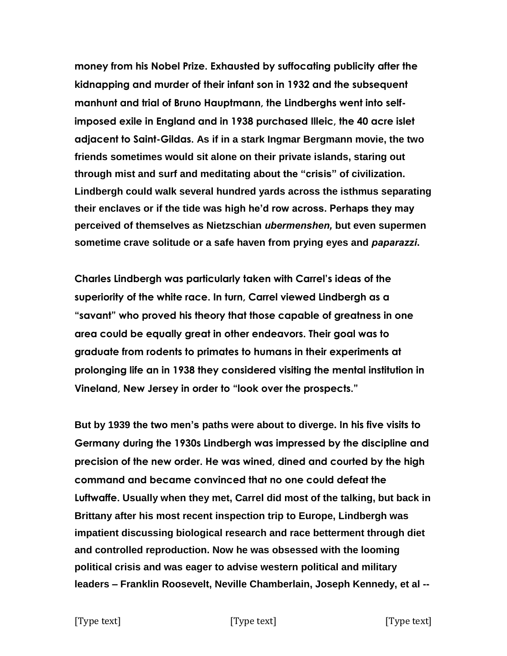**money from his Nobel Prize. Exhausted by suffocating publicity after the kidnapping and murder of their infant son in 1932 and the subsequent manhunt and trial of Bruno Hauptmann, the Lindberghs went into selfimposed exile in England and in 1938 purchased Illeic, the 40 acre islet adjacent to Saint-Gildas. As if in a stark Ingmar Bergmann movie, the two friends sometimes would sit alone on their private islands, staring out through mist and surf and meditating about the "crisis" of civilization. Lindbergh could walk several hundred yards across the isthmus separating their enclaves or if the tide was high he'd row across. Perhaps they may perceived of themselves as Nietzschian** *ubermenshen,* **but even supermen sometime crave solitude or a safe haven from prying eyes and** *paparazzi***.** 

**Charles Lindbergh was particularly taken with Carrel's ideas of the superiority of the white race. In turn, Carrel viewed Lindbergh as a "savant" who proved his theory that those capable of greatness in one area could be equally great in other endeavors. Their goal was to graduate from rodents to primates to humans in their experiments at prolonging life an in 1938 they considered visiting the mental institution in Vineland, New Jersey in order to "look over the prospects."** 

**But by 1939 the two men's paths were about to diverge. In his five visits to Germany during the 1930s Lindbergh was impressed by the discipline and precision of the new order. He was wined, dined and courted by the high command and became convinced that no one could defeat the Luftwaffe. Usually when they met, Carrel did most of the talking, but back in Brittany after his most recent inspection trip to Europe, Lindbergh was impatient discussing biological research and race betterment through diet and controlled reproduction. Now he was obsessed with the looming political crisis and was eager to advise western political and military leaders – Franklin Roosevelt, Neville Chamberlain, Joseph Kennedy, et al --**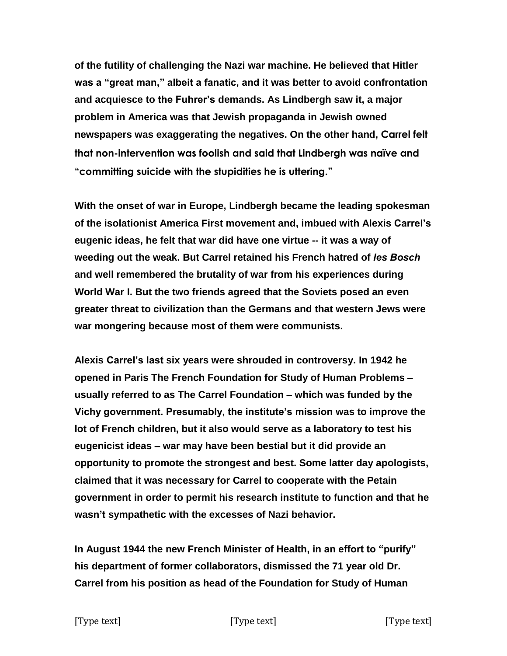**of the futility of challenging the Nazi war machine. He believed that Hitler was a "great man," albeit a fanatic, and it was better to avoid confrontation and acquiesce to the Fuhrer's demands. As Lindbergh saw it, a major problem in America was that Jewish propaganda in Jewish owned newspapers was exaggerating the negatives. On the other hand, Carrel felt that non-intervention was foolish and said that Lindbergh was naïve and "committing suicide with the stupidities he is uttering."** 

**With the onset of war in Europe, Lindbergh became the leading spokesman of the isolationist America First movement and, imbued with Alexis Carrel's eugenic ideas, he felt that war did have one virtue -- it was a way of weeding out the weak. But Carrel retained his French hatred of** *les Bosch* **and well remembered the brutality of war from his experiences during World War I. But the two friends agreed that the Soviets posed an even greater threat to civilization than the Germans and that western Jews were war mongering because most of them were communists.**

**Alexis Carrel's last six years were shrouded in controversy. In 1942 he opened in Paris The French Foundation for Study of Human Problems – usually referred to as The Carrel Foundation – which was funded by the Vichy government. Presumably, the institute's mission was to improve the lot of French children, but it also would serve as a laboratory to test his eugenicist ideas – war may have been bestial but it did provide an opportunity to promote the strongest and best. Some latter day apologists, claimed that it was necessary for Carrel to cooperate with the Petain government in order to permit his research institute to function and that he wasn't sympathetic with the excesses of Nazi behavior.** 

**In August 1944 the new French Minister of Health, in an effort to "purify" his department of former collaborators, dismissed the 71 year old Dr. Carrel from his position as head of the Foundation for Study of Human**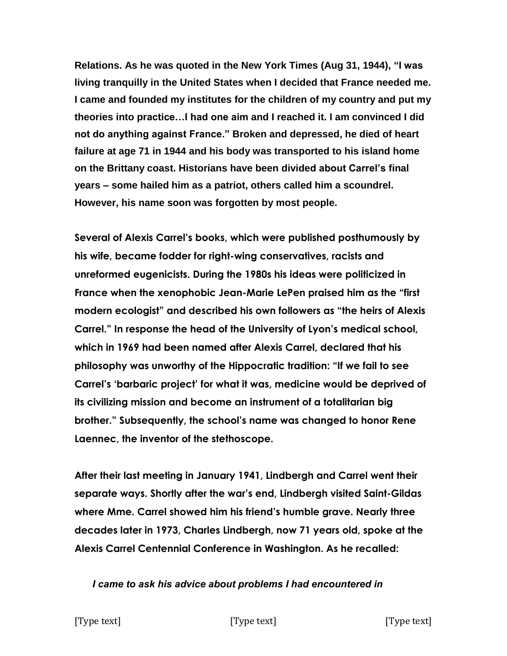**Relations. As he was quoted in the New York Times (Aug 31, 1944), "I was living tranquilly in the United States when I decided that France needed me. I came and founded my institutes for the children of my country and put my theories into practice…I had one aim and I reached it. I am convinced I did not do anything against France." Broken and depressed, he died of heart failure at age 71 in 1944 and his body was transported to his island home on the Brittany coast. Historians have been divided about Carrel's final years – some hailed him as a patriot, others called him a scoundrel. However, his name soon was forgotten by most people.** 

**Several of Alexis Carrel's books, which were published posthumously by his wife, became fodder for right-wing conservatives, racists and unreformed eugenicists. During the 1980s his ideas were politicized in France when the xenophobic Jean-Marie LePen praised him as the "first modern ecologist" and described his own followers as "the heirs of Alexis Carrel." In response the head of the University of Lyon's medical school, which in 1969 had been named after Alexis Carrel, declared that his philosophy was unworthy of the Hippocratic tradition: "If we fail to see Carrel's 'barbaric project' for what it was, medicine would be deprived of its civilizing mission and become an instrument of a totalitarian big brother." Subsequently, the school's name was changed to honor Rene Laennec, the inventor of the stethoscope.**

**After their last meeting in January 1941, Lindbergh and Carrel went their separate ways. Shortly after the war's end, Lindbergh visited Saint-Gildas where Mme. Carrel showed him his friend's humble grave. Nearly three decades later in 1973, Charles Lindbergh, now 71 years old, spoke at the Alexis Carrel Centennial Conference in Washington. As he recalled:**

*I came to ask his advice about problems I had encountered in*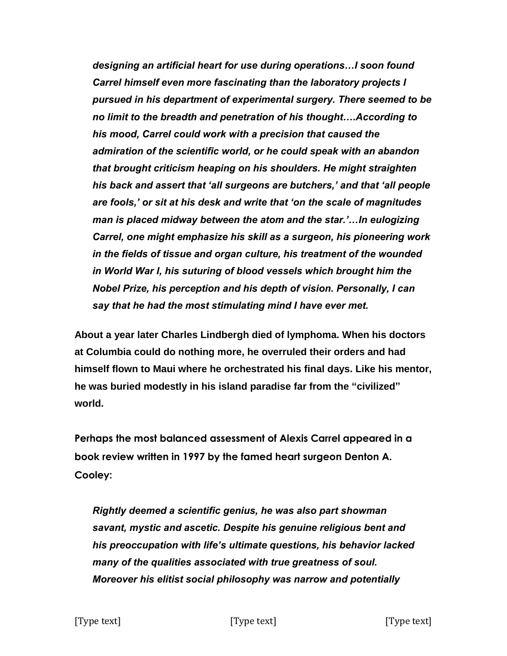*designing an artificial heart for use during operations…I soon found Carrel himself even more fascinating than the laboratory projects I pursued in his department of experimental surgery. There seemed to be no limit to the breadth and penetration of his thought….According to his mood, Carrel could work with a precision that caused the admiration of the scientific world, or he could speak with an abandon that brought criticism heaping on his shoulders. He might straighten his back and assert that 'all surgeons are butchers,' and that 'all people are fools,' or sit at his desk and write that 'on the scale of magnitudes man is placed midway between the atom and the star.'…In eulogizing Carrel, one might emphasize his skill as a surgeon, his pioneering work in the fields of tissue and organ culture, his treatment of the wounded in World War I, his suturing of blood vessels which brought him the Nobel Prize, his perception and his depth of vision. Personally, I can say that he had the most stimulating mind I have ever met.*

**About a year later Charles Lindbergh died of lymphoma. When his doctors at Columbia could do nothing more, he overruled their orders and had himself flown to Maui where he orchestrated his final days. Like his mentor, he was buried modestly in his island paradise far from the "civilized" world.** 

**Perhaps the most balanced assessment of Alexis Carrel appeared in a book review written in 1997 by the famed heart surgeon Denton A. Cooley:**

*Rightly deemed a scientific genius, he was also part showman savant, mystic and ascetic. Despite his genuine religious bent and his preoccupation with life's ultimate questions, his behavior lacked many of the qualities associated with true greatness of soul. Moreover his elitist social philosophy was narrow and potentially*